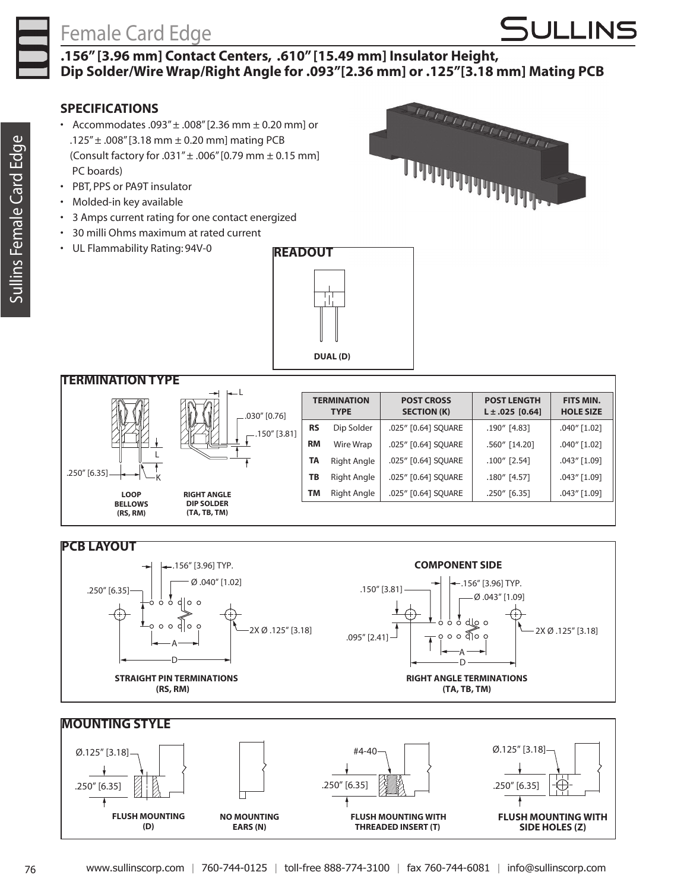### Female Card Edge

## **SULLINS**

wwwwww<sub>www.</sub>

### **.156" [3.96 mm] Contact Centers, .610" [15.49 mm] Insulator Height, Dip Solder/Wire Wrap/Right Angle for .093"[2.36 mm] or .125"[3.18 mm] Mating PCB**

### **SPECIFICATIONS**

- Accommodates .093" $\pm$  .008" [2.36 mm  $\pm$  0.20 mm] or .125"± .008"[3.18 mm ± 0.20 mm] mating PCB (Consult factory for .031"± .006"[0.79 mm ± 0.15 mm] PC boards)
- • PBT, PPS or PA9T insulator
- • Molded-in key available
- • 3 Amps current rating for one contact energized
- • 30 milli Ohms maximum at rated current
- • UL Flammability Rating: 94V-0

**FLUSH MOUNTING (D)**

**NO MOUNTING EARS (N)**







76 www.sullinscorp.com | 760-744-0125 | toll-free 888-774-3100 | fax 760-744-6081 | info@sullinscorp.com

**FLUSH MOUNTING WITH THREADED INSERT (T)** 

**FLUSH MOUNTING WITH SIDE HOLES (Z)**